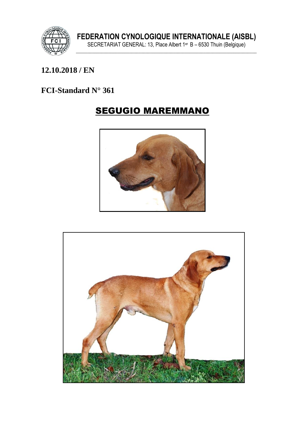

### 12.10.2018 / EN

### FCI-Standard N° 361

# **SEGUGIO MAREMMANO**



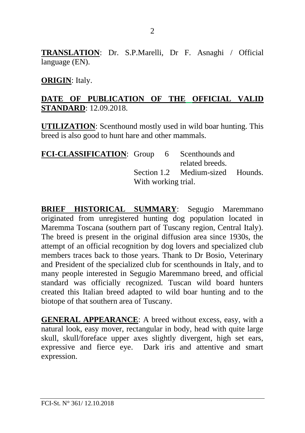**TRANSLATION**: Dr. S.P.Marelli, Dr F. Asnaghi / Official language (EN).

#### **ORIGIN**: Italy.

### **DATE OF PUBLICATION OF THE OFFICIAL VALID STANDARD**: 12.09.2018.

**UTILIZATION**: Scenthound mostly used in wild boar hunting. This breed is also good to hunt hare and other mammals.

| <b>FCI-CLASSIFICATION:</b> Group 6 Scenthounds and |                     |  |                                  |  |
|----------------------------------------------------|---------------------|--|----------------------------------|--|
|                                                    |                     |  | related breeds.                  |  |
|                                                    |                     |  | Section 1.2 Medium-sized Hounds. |  |
|                                                    | With working trial. |  |                                  |  |

**BRIEF HISTORICAL SUMMARY**: Segugio Maremmano originated from unregistered hunting dog population located in Maremma Toscana (southern part of Tuscany region, Central Italy). The breed is present in the original diffusion area since 1930s, the attempt of an official recognition by dog lovers and specialized club members traces back to those years. Thank to Dr Bosio, Veterinary and President of the specialized club for scenthounds in Italy, and to many people interested in Segugio Maremmano breed, and official standard was officially recognized. Tuscan wild board hunters created this Italian breed adapted to wild boar hunting and to the biotope of that southern area of Tuscany.

**GENERAL APPEARANCE**: A breed without excess, easy, with a natural look, easy mover, rectangular in body, head with quite large skull, skull/foreface upper axes slightly divergent, high set ears, expressive and fierce eye. Dark iris and attentive and smart expression.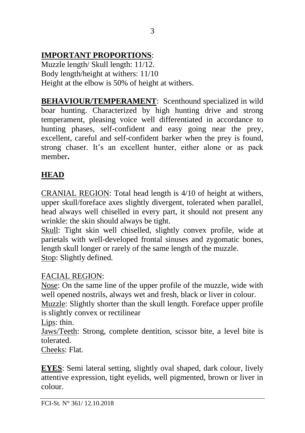# **IMPORTANT PROPORTIONS**:

Muzzle length/ Skull length: 11/12. Body length/height at withers: 11/10 Height at the elbow is 50% of height at withers.

**BEHAVIOUR/TEMPERAMENT:** Scenthound specialized in wild boar hunting. Characterized by high hunting drive and strong temperament, pleasing voice well differentiated in accordance to hunting phases, self-confident and easy going near the prey, excellent, careful and self-confident barker when the prey is found, strong chaser. It's an excellent hunter, either alone or as pack member**.**

# **HEAD**

CRANIAL REGION: Total head length is 4/10 of height at withers, upper skull/foreface axes slightly divergent, tolerated when parallel, head always well chiselled in every part, it should not present any wrinkle: the skin should always be tight.

Skull: Tight skin well chiselled, slightly convex profile, wide at parietals with well-developed frontal sinuses and zygomatic bones, length skull longer or rarely of the same length of the muzzle. Stop: Slightly defined.

# FACIAL REGION:

Nose: On the same line of the upper profile of the muzzle, wide with well opened nostrils, always wet and fresh, black or liver in colour. Muzzle: Slightly shorter than the skull length. Foreface upper profile is slightly convex or rectilinear

Lips: thin.

Jaws/Teeth: Strong, complete dentition, scissor bite, a level bite is tolerated.

Cheeks: Flat.

**EYES**: Semi lateral setting, slightly oval shaped, dark colour, lively attentive expression, tight eyelids, well pigmented, brown or liver in colour.

3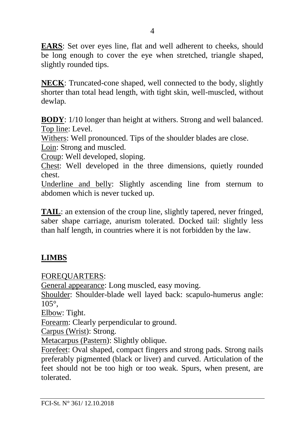**EARS**: Set over eyes line, flat and well adherent to cheeks, should be long enough to cover the eye when stretched, triangle shaped, slightly rounded tips.

**NECK**: Truncated-cone shaped, well connected to the body, slightly shorter than total head length, with tight skin, well-muscled, without dewlap*.*

**BODY**: 1/10 longer than height at withers. Strong and well balanced. Top line: Level.

Withers: Well pronounced. Tips of the shoulder blades are close. Loin: Strong and muscled.

Croup: Well developed, sloping.

Chest: Well developed in the three dimensions, quietly rounded chest.

Underline and belly: Slightly ascending line from sternum to abdomen which is never tucked up.

**TAIL**: an extension of the croup line, slightly tapered, never fringed, saber shape carriage, anurism tolerated. Docked tail: slightly less than half length, in countries where it is not forbidden by the law.

### **LIMBS**

FOREQUARTERS:

General appearance: Long muscled, easy moving.

Shoulder: Shoulder-blade well layed back: scapulo-humerus angle: 105°,

Elbow: Tight.

Forearm: Clearly perpendicular to ground.

Carpus (Wrist): Strong.

Metacarpus (Pastern): Slightly oblique.

Forefeet: Oval shaped, compact fingers and strong pads. Strong nails preferably pigmented (black or liver) and curved. Articulation of the feet should not be too high or too weak. Spurs, when present, are tolerated.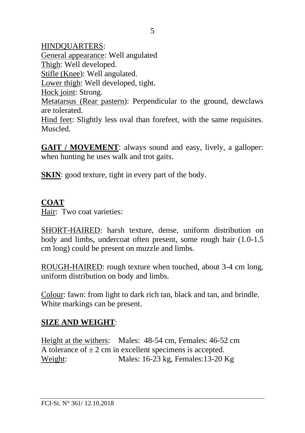HINDQUARTERS: General appearance: Well angulated Thigh: Well developed. Stifle (Knee): Well angulated. Lower thigh: Well developed, tight. Hock joint: Strong. Metatarsus (Rear pastern): Perpendicular to the ground, dewclaws are tolerated. Hind feet: Slightly less oval than forefeet, with the same requisites. Muscled.

**GAIT / MOVEMENT:** always sound and easy, lively, a galloper: when hunting he uses walk and trot gaits.

**SKIN**: good texture, tight in every part of the body.

### **COAT**

Hair: Two coat varieties:

SHORT-HAIRED: harsh texture, dense, uniform distribution on body and limbs, undercoat often present, some rough hair (1.0-1.5 cm long) could be present on muzzle and limbs.

ROUGH-HAIRED: rough texture when touched, about 3-4 cm long, uniform distribution on body and limbs.

Colour: fawn: from light to dark rich tan, black and tan, and brindle. White markings can be present.

### **SIZE AND WEIGHT**:

Height at the withers: Males: 48-54 cm, Females: 46-52 cm A tolerance of  $\pm 2$  cm in excellent specimens is accepted. Weight: Males: 16-23 kg, Females: 13-20 Kg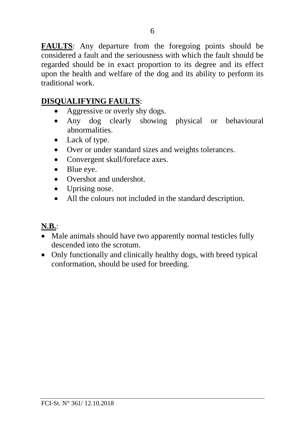**FAULTS**: Any departure from the foregoing points should be considered a fault and the seriousness with which the fault should be regarded should be in exact proportion to its degree and its effect upon the health and welfare of the dog and its ability to perform its traditional work.

## **DISQUALIFYING FAULTS**:

- Aggressive or overly shy dogs.
- Any dog clearly showing physical or behavioural abnormalities.
- Lack of type.
- Over or under standard sizes and weights tolerances.
- Convergent skull/foreface axes.
- Blue eye.
- Overshot and undershot.
- Uprising nose.
- All the colours not included in the standard description.

# **N.B.**:

- Male animals should have two apparently normal testicles fully descended into the scrotum.
- Only functionally and clinically healthy dogs, with breed typical conformation, should be used for breeding.